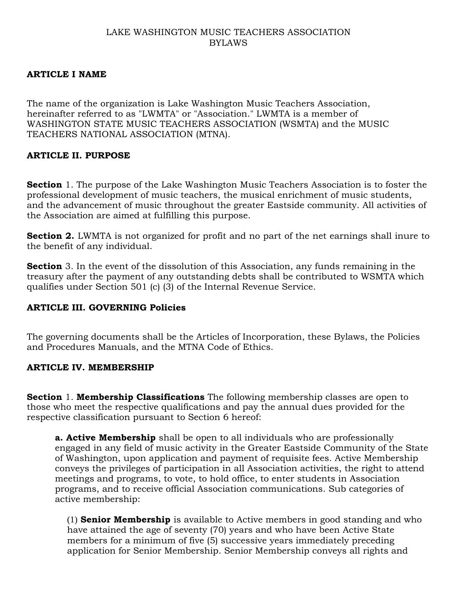### LAKE WASHINGTON MUSIC TEACHERS ASSOCIATION BYLAWS

### **ARTICLE I NAME**

The name of the organization is Lake Washington Music Teachers Association, hereinafter referred to as "LWMTA" or "Association." LWMTA is a member of WASHINGTON STATE MUSIC TEACHERS ASSOCIATION (WSMTA) and the MUSIC TEACHERS NATIONAL ASSOCIATION (MTNA).

### **ARTICLE II. PURPOSE**

**Section** 1. The purpose of the Lake Washington Music Teachers Association is to foster the professional development of music teachers, the musical enrichment of music students, and the advancement of music throughout the greater Eastside community. All activities of the Association are aimed at fulfilling this purpose.

**Section 2.** LWMTA is not organized for profit and no part of the net earnings shall inure to the benefit of any individual.

**Section** 3. In the event of the dissolution of this Association, any funds remaining in the treasury after the payment of any outstanding debts shall be contributed to WSMTA which qualifies under Section 501 (c) (3) of the Internal Revenue Service.

### **ARTICLE III. GOVERNING Policies**

The governing documents shall be the Articles of Incorporation, these Bylaws, the Policies and Procedures Manuals, and the MTNA Code of Ethics.

#### **ARTICLE IV. MEMBERSHIP**

**Section** 1. **Membership Classifications** The following membership classes are open to those who meet the respective qualifications and pay the annual dues provided for the respective classification pursuant to Section 6 hereof:

**a. Active Membership** shall be open to all individuals who are professionally engaged in any field of music activity in the Greater Eastside Community of the State of Washington, upon application and payment of requisite fees. Active Membership conveys the privileges of participation in all Association activities, the right to attend meetings and programs, to vote, to hold office, to enter students in Association programs, and to receive official Association communications. Sub categories of active membership:

(1) **Senior Membership** is available to Active members in good standing and who have attained the age of seventy (70) years and who have been Active State members for a minimum of five (5) successive years immediately preceding application for Senior Membership. Senior Membership conveys all rights and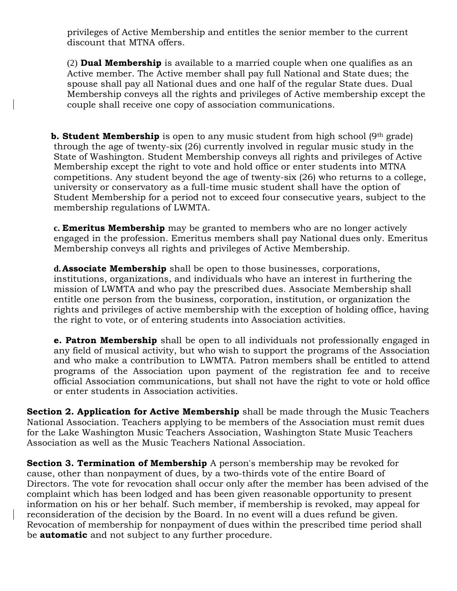privileges of Active Membership and entitles the senior member to the current discount that MTNA offers.

(2) **Dual Membership** is available to a married couple when one qualifies as an Active member. The Active member shall pay full National and State dues; the spouse shall pay all National dues and one half of the regular State dues. Dual Membership conveys all the rights and privileges of Active membership except the couple shall receive one copy of association communications.

**b. Student Membership** is open to any music student from high school (9<sup>th</sup> grade) through the age of twenty-six (26) currently involved in regular music study in the State of Washington. Student Membership conveys all rights and privileges of Active Membership except the right to vote and hold office or enter students into MTNA competitions. Any student beyond the age of twenty-six (26) who returns to a college, university or conservatory as a full-time music student shall have the option of Student Membership for a period not to exceed four consecutive years, subject to the membership regulations of LWMTA.

**c. Emeritus Membership** may be granted to members who are no longer actively engaged in the profession. Emeritus members shall pay National dues only. Emeritus Membership conveys all rights and privileges of Active Membership.

**d. Associate Membership** shall be open to those businesses, corporations, institutions, organizations, and individuals who have an interest in furthering the mission of LWMTA and who pay the prescribed dues. Associate Membership shall entitle one person from the business, corporation, institution, or organization the rights and privileges of active membership with the exception of holding office, having the right to vote, or of entering students into Association activities.

**e. Patron Membership** shall be open to all individuals not professionally engaged in any field of musical activity, but who wish to support the programs of the Association and who make a contribution to LWMTA. Patron members shall be entitled to attend programs of the Association upon payment of the registration fee and to receive official Association communications, but shall not have the right to vote or hold office or enter students in Association activities.

**Section 2. Application for Active Membership** shall be made through the Music Teachers National Association. Teachers applying to be members of the Association must remit dues for the Lake Washington Music Teachers Association, Washington State Music Teachers Association as well as the Music Teachers National Association.

**Section 3. Termination of Membership** A person's membership may be revoked for cause, other than nonpayment of dues, by a two-thirds vote of the entire Board of Directors. The vote for revocation shall occur only after the member has been advised of the complaint which has been lodged and has been given reasonable opportunity to present information on his or her behalf. Such member, if membership is revoked, may appeal for reconsideration of the decision by the Board. In no event will a dues refund be given. Revocation of membership for nonpayment of dues within the prescribed time period shall be **automatic** and not subject to any further procedure.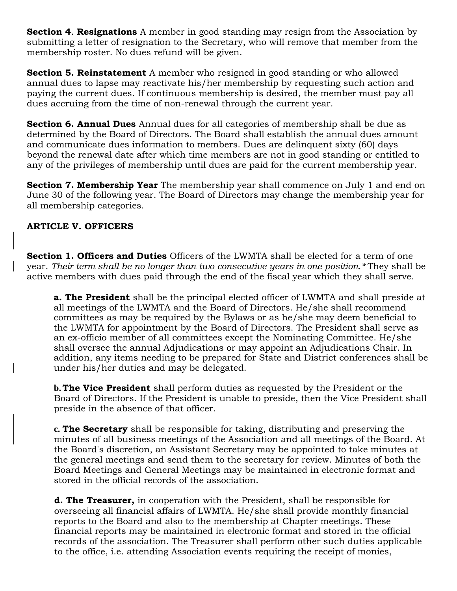**Section 4**. **Resignations** A member in good standing may resign from the Association by submitting a letter of resignation to the Secretary, who will remove that member from the membership roster. No dues refund will be given.

**Section 5. Reinstatement** A member who resigned in good standing or who allowed annual dues to lapse may reactivate his/her membership by requesting such action and paying the current dues. If continuous membership is desired, the member must pay all dues accruing from the time of non-renewal through the current year.

**Section 6. Annual Dues** Annual dues for all categories of membership shall be due as determined by the Board of Directors. The Board shall establish the annual dues amount and communicate dues information to members. Dues are delinquent sixty (60) days beyond the renewal date after which time members are not in good standing or entitled to any of the privileges of membership until dues are paid for the current membership year.

**Section 7. Membership Year** The membership year shall commence on July 1 and end on June 30 of the following year. The Board of Directors may change the membership year for all membership categories.

### **ARTICLE V. OFFICERS**

**Section 1. Officers and Duties** Officers of the LWMTA shall be elected for a term of one year. *Their term shall be no longer than two consecutive years in one position.\** They shall be active members with dues paid through the end of the fiscal year which they shall serve.

**a. The President** shall be the principal elected officer of LWMTA and shall preside at all meetings of the LWMTA and the Board of Directors. He/she shall recommend committees as may be required by the Bylaws or as he/she may deem beneficial to the LWMTA for appointment by the Board of Directors. The President shall serve as an ex-officio member of all committees except the Nominating Committee. He/she shall oversee the annual Adjudications or may appoint an Adjudications Chair. In addition, any items needing to be prepared for State and District conferences shall be under his/her duties and may be delegated.

**b. The Vice President** shall perform duties as requested by the President or the Board of Directors. If the President is unable to preside, then the Vice President shall preside in the absence of that officer.

**c. The Secretary** shall be responsible for taking, distributing and preserving the minutes of all business meetings of the Association and all meetings of the Board. At the Board's discretion, an Assistant Secretary may be appointed to take minutes at the general meetings and send them to the secretary for review. Minutes of both the Board Meetings and General Meetings may be maintained in electronic format and stored in the official records of the association.

**d. The Treasurer,** in cooperation with the President, shall be responsible for overseeing all financial affairs of LWMTA. He/she shall provide monthly financial reports to the Board and also to the membership at Chapter meetings. These financial reports may be maintained in electronic format and stored in the official records of the association. The Treasurer shall perform other such duties applicable to the office, i.e. attending Association events requiring the receipt of monies,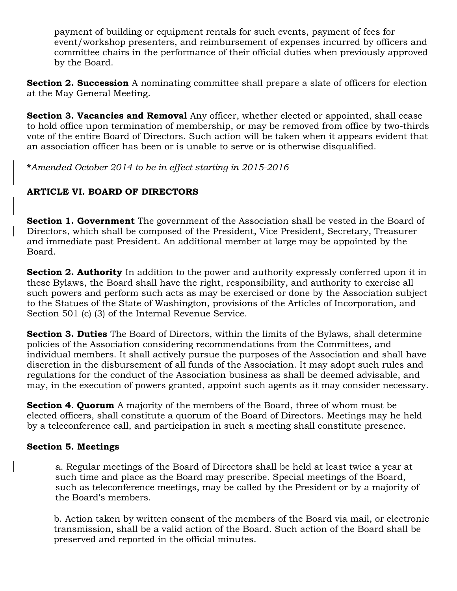payment of building or equipment rentals for such events, payment of fees for event/workshop presenters, and reimbursement of expenses incurred by officers and committee chairs in the performance of their official duties when previously approved by the Board.

**Section 2. Succession** A nominating committee shall prepare a slate of officers for election at the May General Meeting.

**Section 3. Vacancies and Removal** Any officer, whether elected or appointed, shall cease to hold office upon termination of membership, or may be removed from office by two-thirds vote of the entire Board of Directors. Such action will be taken when it appears evident that an association officer has been or is unable to serve or is otherwise disqualified.

**\****Amended October 2014 to be in effect starting in 2015-2016*

# **ARTICLE VI. BOARD OF DIRECTORS**

**Section 1. Government** The government of the Association shall be vested in the Board of Directors, which shall be composed of the President, Vice President, Secretary, Treasurer and immediate past President. An additional member at large may be appointed by the Board.

**Section 2. Authority** In addition to the power and authority expressly conferred upon it in these Bylaws, the Board shall have the right, responsibility, and authority to exercise all such powers and perform such acts as may be exercised or done by the Association subject to the Statues of the State of Washington, provisions of the Articles of Incorporation, and Section 501 (c) (3) of the Internal Revenue Service.

**Section 3. Duties** The Board of Directors, within the limits of the Bylaws, shall determine policies of the Association considering recommendations from the Committees, and individual members. It shall actively pursue the purposes of the Association and shall have discretion in the disbursement of all funds of the Association. It may adopt such rules and regulations for the conduct of the Association business as shall be deemed advisable, and may, in the execution of powers granted, appoint such agents as it may consider necessary.

**Section 4**. **Quorum** A majority of the members of the Board, three of whom must be elected officers, shall constitute a quorum of the Board of Directors. Meetings may he held by a teleconference call, and participation in such a meeting shall constitute presence.

### **Section 5. Meetings**

a. Regular meetings of the Board of Directors shall be held at least twice a year at such time and place as the Board may prescribe. Special meetings of the Board, such as teleconference meetings, may be called by the President or by a majority of the Board's members.

b. Action taken by written consent of the members of the Board via mail, or electronic transmission, shall be a valid action of the Board. Such action of the Board shall be preserved and reported in the official minutes.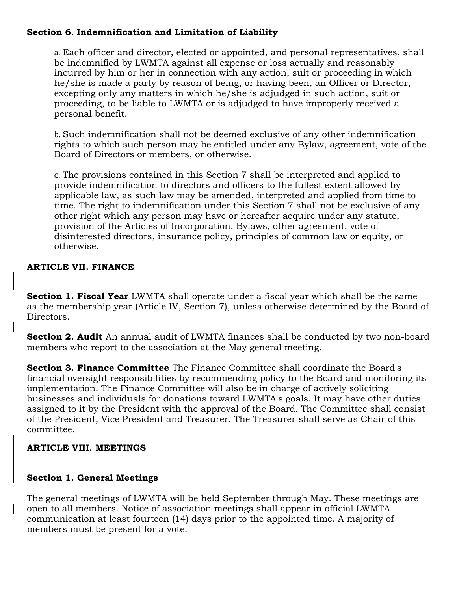## **Section 6**. **Indemnification and Limitation of Liability**

a. Each officer and director, elected or appointed, and personal representatives, shall be indemnified by LWMTA against all expense or loss actually and reasonably incurred by him or her in connection with any action, suit or proceeding in which he/she is made a party by reason of being, or having been, an Officer or Director, excepting only any matters in which he/she is adjudged in such action, suit or proceeding, to be liable to LWMTA or is adjudged to have improperly received a personal benefit.

b. Such indemnification shall not be deemed exclusive of any other indemnification rights to which such person may be entitled under any Bylaw, agreement, vote of the Board of Directors or members, or otherwise.

c. The provisions contained in this Section 7 shall be interpreted and applied to provide indemnification to directors and officers to the fullest extent allowed by applicable law, as such law may be amended, interpreted and applied from time to time. The right to indemnification under this Section 7 shall not be exclusive of any other right which any person may have or hereafter acquire under any statute, provision of the Articles of Incorporation, Bylaws, other agreement, vote of disinterested directors, insurance policy, principles of common law or equity, or otherwise.

### **ARTICLE VII. FINANCE**

**Section 1. Fiscal Year** LWMTA shall operate under a fiscal year which shall be the same as the membership year (Article IV, Section 7), unless otherwise determined by the Board of Directors.

**Section 2. Audit** An annual audit of LWMTA finances shall be conducted by two non-board members who report to the association at the May general meeting.

**Section 3. Finance Committee** The Finance Committee shall coordinate the Board's financial oversight responsibilities by recommending policy to the Board and monitoring its implementation. The Finance Committee will also be in charge of actively soliciting businesses and individuals for donations toward LWMTA's goals. It may have other duties assigned to it by the President with the approval of the Board. The Committee shall consist of the President, Vice President and Treasurer. The Treasurer shall serve as Chair of this committee.

## **ARTICLE VIII. MEETINGS**

### **Section 1. General Meetings**

The general meetings of LWMTA will be held September through May. These meetings are open to all members. Notice of association meetings shall appear in official LWMTA communication at least fourteen (14) days prior to the appointed time. A majority of members must be present for a vote.